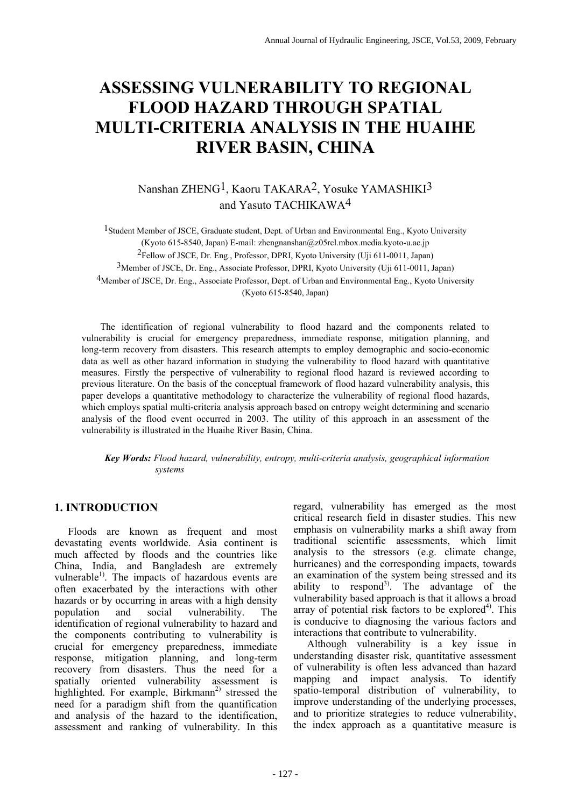# **ASSESSING VULNERABILITY TO REGIONAL FLOOD HAZARD THROUGH SPATIAL MULTI-CRITERIA ANALYSIS IN THE HUAIHE RIVER BASIN, CHINA**

Nanshan ZHENG1, Kaoru TAKARA2, Yosuke YAMASHIKI3 and Yasuto TACHIKAWA4

<sup>1</sup> Student Member of JSCE, Graduate student, Dept. of Urban and Environmental Eng., Kyoto University (Kyoto 615-8540, Japan) E-mail: zhengnanshan@z05rcl.mbox.media.kyoto-u.ac.jp 2Fellow of JSCE, Dr. Eng., Professor, DPRI, Kyoto University (Uji 611-0011, Japan) 3Member of JSCE, Dr. Eng., Associate Professor, DPRI, Kyoto University (Uji 611-0011, Japan) 4Member of JSCE, Dr. Eng., Associate Professor, Dept. of Urban and Environmental Eng., Kyoto University (Kyoto 615-8540, Japan)

The identification of regional vulnerability to flood hazard and the components related to vulnerability is crucial for emergency preparedness, immediate response, mitigation planning, and long-term recovery from disasters. This research attempts to employ demographic and socio-economic data as well as other hazard information in studying the vulnerability to flood hazard with quantitative measures. Firstly the perspective of vulnerability to regional flood hazard is reviewed according to previous literature. On the basis of the conceptual framework of flood hazard vulnerability analysis, this paper develops a quantitative methodology to characterize the vulnerability of regional flood hazards, which employs spatial multi-criteria analysis approach based on entropy weight determining and scenario analysis of the flood event occurred in 2003. The utility of this approach in an assessment of the vulnerability is illustrated in the Huaihe River Basin, China.

*Key Words: Flood hazard, vulnerability, entropy, multi-criteria analysis, geographical information systems* 

# **1. INTRODUCTION**

Floods are known as frequent and most devastating events worldwide. Asia continent is much affected by floods and the countries like China, India, and Bangladesh are extremely vulnerable<sup>1)</sup>. The impacts of hazardous events are often exacerbated by the interactions with other hazards or by occurring in areas with a high density population and social vulnerability. The identification of regional vulnerability to hazard and the components contributing to vulnerability is crucial for emergency preparedness, immediate response, mitigation planning, and long-term recovery from disasters. Thus the need for a spatially oriented vulnerability assessment is highlighted. For example, Birkmann<sup>2)</sup> stressed the need for a paradigm shift from the quantification and analysis of the hazard to the identification, assessment and ranking of vulnerability. In this regard, vulnerability has emerged as the most critical research field in disaster studies. This new emphasis on vulnerability marks a shift away from traditional scientific assessments, which limit analysis to the stressors (e.g. climate change, hurricanes) and the corresponding impacts, towards an examination of the system being stressed and its ability to respond<sup>3)</sup>. The advantage of the vulnerability based approach is that it allows a broad array of potential risk factors to be explored<sup>4)</sup>. This is conducive to diagnosing the various factors and interactions that contribute to vulnerability.

Although vulnerability is a key issue in understanding disaster risk, quantitative assessment of vulnerability is often less advanced than hazard mapping and impact analysis. To identify spatio-temporal distribution of vulnerability, to improve understanding of the underlying processes, and to prioritize strategies to reduce vulnerability, the index approach as a quantitative measure is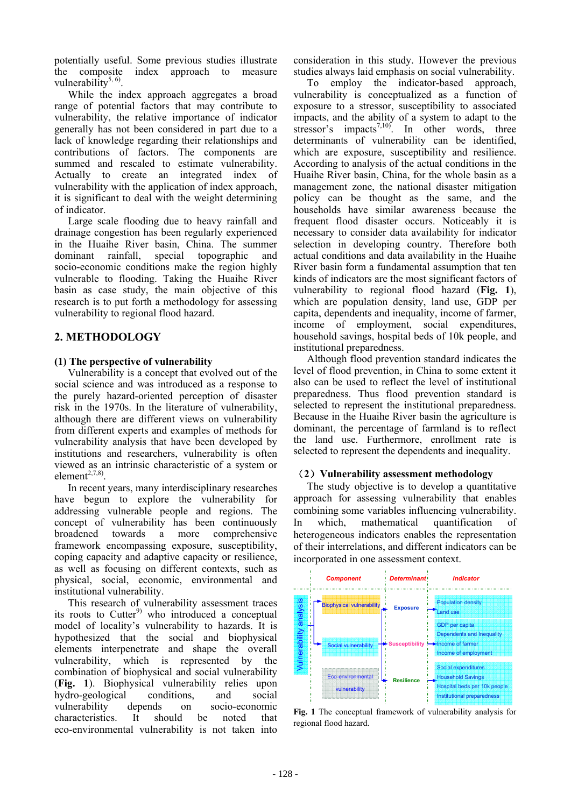potentially useful. Some previous studies illustrate the composite index approach to measure vulnerability<sup>5, 6)</sup>

While the index approach aggregates a broad range of potential factors that may contribute to vulnerability, the relative importance of indicator generally has not been considered in part due to a lack of knowledge regarding their relationships and contributions of factors. The components are summed and rescaled to estimate vulnerability. Actually to create an integrated index of vulnerability with the application of index approach, it is significant to deal with the weight determining of indicator.

Large scale flooding due to heavy rainfall and drainage congestion has been regularly experienced in the Huaihe River basin, China. The summer dominant rainfall, special topographic and socio-economic conditions make the region highly vulnerable to flooding. Taking the Huaihe River basin as case study, the main objective of this research is to put forth a methodology for assessing vulnerability to regional flood hazard.

# **2. METHODOLOGY**

## **(1) The perspective of vulnerability**

Vulnerability is a concept that evolved out of the social science and was introduced as a response to the purely hazard-oriented perception of disaster risk in the 1970s. In the literature of vulnerability, although there are different views on vulnerability from different experts and examples of methods for vulnerability analysis that have been developed by institutions and researchers, vulnerability is often viewed as an intrinsic characteristic of a system or element $2,7,8$ )

In recent years, many interdisciplinary researches have begun to explore the vulnerability for addressing vulnerable people and regions. The concept of vulnerability has been continuously broadened towards a more comprehensive framework encompassing exposure, susceptibility, coping capacity and adaptive capacity or resilience, as well as focusing on different contexts, such as physical, social, economic, environmental and institutional vulnerability.

This research of vulnerability assessment traces its roots to Cutter $9$  who introduced a conceptual model of locality's vulnerability to hazards. It is hypothesized that the social and biophysical elements interpenetrate and shape the overall vulnerability, which is represented by the combination of biophysical and social vulnerability (**Fig. 1**). Biophysical vulnerability relies upon hydro-geological conditions, and social vulnerability depends on socio-economic characteristics. It should be noted that eco-environmental vulnerability is not taken into

consideration in this study. However the previous studies always laid emphasis on social vulnerability.

To employ the indicator-based approach, vulnerability is conceptualized as a function of exposure to a stressor, susceptibility to associated impacts, and the ability of a system to adapt to the stressor's impacts<sup>7,10)</sup>. In other words, three determinants of vulnerability can be identified, which are exposure, susceptibility and resilience. According to analysis of the actual conditions in the Huaihe River basin, China, for the whole basin as a management zone, the national disaster mitigation policy can be thought as the same, and the households have similar awareness because the frequent flood disaster occurs. Noticeably it is necessary to consider data availability for indicator selection in developing country. Therefore both actual conditions and data availability in the Huaihe River basin form a fundamental assumption that ten kinds of indicators are the most significant factors of vulnerability to regional flood hazard (**Fig. 1**), which are population density, land use, GDP per capita, dependents and inequality, income of farmer, income of employment, social expenditures, household savings, hospital beds of 10k people, and institutional preparedness.

Although flood prevention standard indicates the level of flood prevention, in China to some extent it also can be used to reflect the level of institutional preparedness. Thus flood prevention standard is selected to represent the institutional preparedness. Because in the Huaihe River basin the agriculture is dominant, the percentage of farmland is to reflect the land use. Furthermore, enrollment rate is selected to represent the dependents and inequality.

## (**2**)**Vulnerability assessment methodology**

The study objective is to develop a quantitative approach for assessing vulnerability that enables combining some variables influencing vulnerability. In which, mathematical quantification of heterogeneous indicators enables the representation of their interrelations, and different indicators can be incorporated in one assessment context.



**Fig. 1** The conceptual framework of vulnerability analysis for regional flood hazard.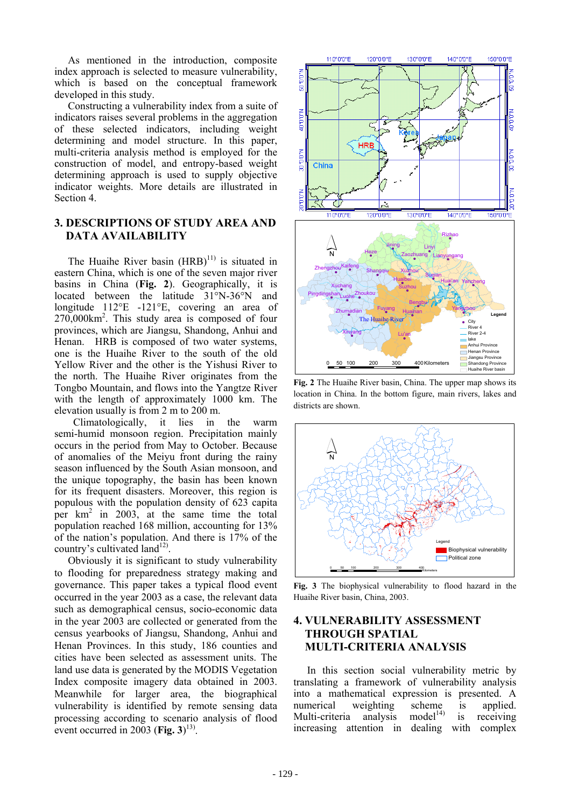As mentioned in the introduction, composite index approach is selected to measure vulnerability, which is based on the conceptual framework developed in this study.

Constructing a vulnerability index from a suite of indicators raises several problems in the aggregation of these selected indicators, including weight determining and model structure. In this paper, multi-criteria analysis method is employed for the construction of model, and entropy-based weight determining approach is used to supply objective indicator weights. More details are illustrated in Section 4.

# **3. DESCRIPTIONS OF STUDY AREA AND DATA AVAILABILITY**

The Huaihe River basin  $(HRB)^{11}$  is situated in eastern China, which is one of the seven major river basins in China (**Fig. 2**). Geographically, it is located between the latitude 31°N-36°N and longitude 112°E -121°E, covering an area of 270,000km2 . This study area is composed of four provinces, which are Jiangsu, Shandong, Anhui and Henan. HRB is composed of two water systems, one is the Huaihe River to the south of the old Yellow River and the other is the Yishusi River to the north. The Huaihe River originates from the Tongbo Mountain, and flows into the Yangtze River with the length of approximately 1000 km. The elevation usually is from 2 m to 200 m.

Climatologically, it lies in the warm semi-humid monsoon region. Precipitation mainly occurs in the period from May to October. Because of anomalies of the Meiyu front during the rainy season influenced by the South Asian monsoon, and the unique topography, the basin has been known for its frequent disasters. Moreover, this region is populous with the population density of 623 capita per km<sup>2</sup> in 2003, at the same time the total population reached 168 million, accounting for 13% of the nation's population. And there is 17% of the country's cultivated land<sup>12)</sup>.

Obviously it is significant to study vulnerability to flooding for preparedness strategy making and governance. This paper takes a typical flood event occurred in the year 2003 as a case, the relevant data such as demographical census, socio-economic data in the year 2003 are collected or generated from the census yearbooks of Jiangsu, Shandong, Anhui and Henan Provinces. In this study, 186 counties and cities have been selected as assessment units. The land use data is generated by the MODIS Vegetation Index composite imagery data obtained in 2003. Meanwhile for larger area, the biographical vulnerability is identified by remote sensing data processing according to scenario analysis of flood event occurred in 2003 (Fig.  $3$ )<sup>13)</sup>.



**Fig. 2** The Huaihe River basin, China. The upper map shows its location in China. In the bottom figure, main rivers, lakes and districts are shown.



**Fig. 3** The biophysical vulnerability to flood hazard in the Huaihe River basin, China, 2003.

# **4. VULNERABILITY ASSESSMENT THROUGH SPATIAL MULTI-CRITERIA ANALYSIS**

In this section social vulnerability metric by translating a framework of vulnerability analysis into a mathematical expression is presented. A numerical weighting scheme is applied.<br>Multi-criteria analysis model<sup>14)</sup> is receiving Multi-criteria analysis model<sup>14)</sup> is receiving increasing attention in dealing with complex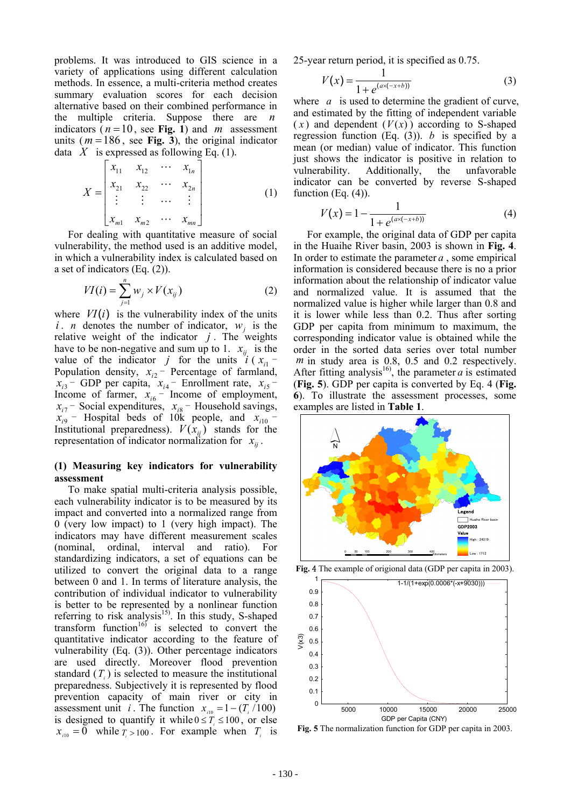problems. It was introduced to GIS science in a variety of applications using different calculation methods. In essence, a multi-criteria method creates summary evaluation scores for each decision alternative based on their combined performance in the multiple criteria. Suppose there are *n* indicators ( $n = 10$ , see Fig. 1) and *m* assessment units ( $m = 186$ , see Fig. 3), the original indicator data  $X$  is expressed as following Eq. (1).

$$
X = \begin{bmatrix} x_{11} & x_{12} & \cdots & x_{1n} \\ x_{21} & x_{22} & \cdots & x_{2n} \\ \vdots & \vdots & \cdots & \vdots \\ x_{m1} & x_{m2} & \cdots & x_{mn} \end{bmatrix}
$$
 (1)

For dealing with quantitative measure of social vulnerability, the method used is an additive model, in which a vulnerability index is calculated based on a set of indicators (Eq. (2)).

$$
VI(i) = \sum_{j=1}^{n} w_j \times V(x_{ij})
$$
 (2)

where  $VI(i)$  is the vulnerability index of the units *i*. *n* denotes the number of indicator,  $w_i$  is the relative weight of the indicator  $j$ . The weights have to be non-negative and sum up to 1.  $x_{ij}$  is the value of the indicator *j* for the units  $i(x_i -$ Population density,  $x_{i2}$  - Percentage of farmland,  $x_{i3}$  – GDP per capita,  $x_{i4}$  – Enrollment rate,  $x_{i5}$  – Income of farmer,  $x_{i6}$  – Income of employment,  $x_{i7}$  – Social expenditures,  $x_{i8}$  – Household savings,  $\hat{x}_{i9}$  – Hospital beds of 10k people, and  $\hat{x}_{i10}$  – Institutional preparedness).  $V(\bar{x}_{ij})$  stands for the representation of indicator normalization for  $x_{ii}$ .

## **(1) Measuring key indicators for vulnerability assessment**

To make spatial multi-criteria analysis possible, each vulnerability indicator is to be measured by its impact and converted into a normalized range from 0 (very low impact) to 1 (very high impact). The indicators may have different measurement scales (nominal, ordinal, interval and ratio). For standardizing indicators, a set of equations can be utilized to convert the original data to a range between 0 and 1. In terms of literature analysis, the contribution of individual indicator to vulnerability is better to be represented by a nonlinear function referring to risk analysis<sup>15)</sup>. In this study, S-shaped transform function<sup>16)</sup> is selected to convert the quantitative indicator according to the feature of vulnerability (Eq. (3)). Other percentage indicators are used directly. Moreover flood prevention standard  $(T_i)$  is selected to measure the institutional preparedness. Subjectively it is represented by flood prevention capacity of main river or city in assessment unit *i*. The function  $x_{in} = 1 - (T_1/100)$ is designed to quantify it while  $0 \le T_i \le 100$ , or else  $x_{i10} = \overline{0}$  while  $\overline{T}_i > 100$ . For example when  $T_i$  is 25-year return period, it is specified as 0.75.

$$
V(x) = \frac{1}{1 + e^{(ax(-x+b))}}
$$
 (3)

where *a* is used to determine the gradient of curve, and estimated by the fitting of independent variable  $(x)$  and dependent  $(V(x))$  according to S-shaped regression function (Eq.  $(3)$ ). *b* is specified by a mean (or median) value of indicator. This function just shows the indicator is positive in relation to vulnerability. Additionally, the unfavorable indicator can be converted by reverse S-shaped function  $(Eq. (4))$ .

$$
V(x) = 1 - \frac{1}{1 + e^{(ax(-x+b))}}
$$
 (4)

For example, the original data of GDP per capita in the Huaihe River basin, 2003 is shown in **Fig. 4**. In order to estimate the parameter *a* , some empirical information is considered because there is no a prior information about the relationship of indicator value and normalized value. It is assumed that the normalized value is higher while larger than 0.8 and it is lower while less than 0.2. Thus after sorting GDP per capita from minimum to maximum, the corresponding indicator value is obtained while the order in the sorted data series over total number *m* in study area is 0.8, 0.5 and 0.2 respectively. After fitting analysis<sup>16</sup>, the parameter  $a$  is estimated (**Fig. 5**). GDP per capita is converted by Eq. 4 (**Fig. 6**). To illustrate the assessment processes, some examples are listed in **Table 1**.



**Fig.** 4 The example of origional data (GDP per capita in 2003).



**Fig. 5** The normalization function for GDP per capita in 2003.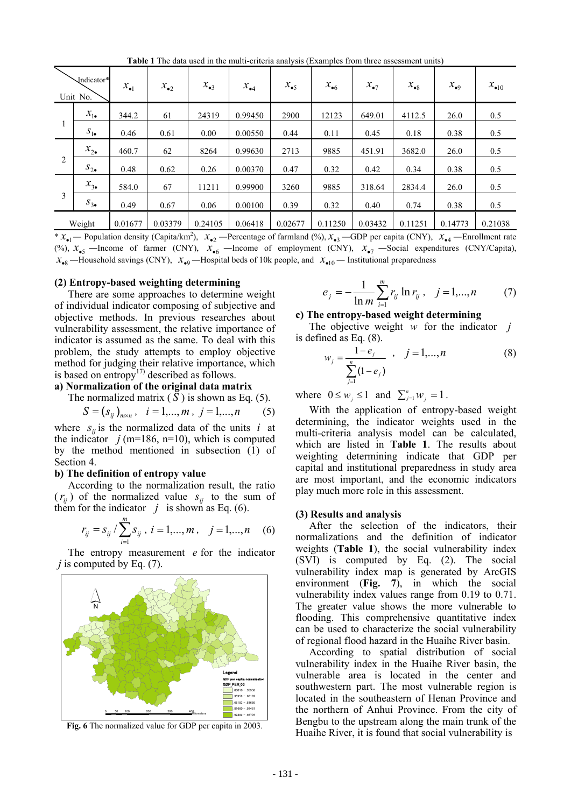**Table 1** The data used in the multi-criteria analysis (Examples from three assessment units)

| Indicator*<br>Unit No. |                | $x_{\bullet 1}$ | $x_{\bullet 2}$ | $x_{\bullet 3}$ | $x_{\bullet 4}$ | $x_{\bullet 5}$ | $x_{\bullet 6}$ | $x_{\bullet 7}$ | $x_{\bullet 8}$ | $x_{\bullet 9}$ | $x_{\bullet 10}$ |
|------------------------|----------------|-----------------|-----------------|-----------------|-----------------|-----------------|-----------------|-----------------|-----------------|-----------------|------------------|
|                        | $x_{1\bullet}$ | 344.2           | 61              | 24319           | 0.99450         | 2900            | 12123           | 649.01          | 4112.5          | 26.0            | 0.5              |
|                        | $S_{1\bullet}$ | 0.46            | 0.61            | 0.00            | 0.00550         | 0.44            | 0.11            | 0.45            | 0.18            | 0.38            | 0.5              |
| 2                      | $x_{2\bullet}$ | 460.7           | 62              | 8264            | 0.99630         | 2713            | 9885            | 451.91          | 3682.0          | 26.0            | 0.5              |
|                        | $S_{2\bullet}$ | 0.48            | 0.62            | 0.26            | 0.00370         | 0.47            | 0.32            | 0.42            | 0.34            | 0.38            | 0.5              |
| 3                      | $x_{3\bullet}$ | 584.0           | 67              | 11211           | 0.99900         | 3260            | 9885            | 318.64          | 2834.4          | 26.0            | 0.5              |
|                        | $S_{3\bullet}$ | 0.49            | 0.67            | 0.06            | 0.00100         | 0.39            | 0.32            | 0.40            | 0.74            | 0.38            | 0.5              |
| Weight                 |                | 0.01677         | 0.03379         | 0.24105         | 0.06418         | 0.02677         | 0.11250         | 0.03432         | 0.11251         | 0.14773         | 0.21038          |

 $* x_{\bullet}$  – Population density (Capita/km<sup>2</sup>),  $x_{\bullet}$  – Percentage of farmland (%),  $x_{\bullet}$  –GDP per capita (CNY),  $x_{\bullet}$  – Enrollment rate (%),  $x_{\bullet 5}$  —Income of farmer (CNY),  $x_{\bullet 6}$  —Income of employment (CNY),  $x_{\bullet 7}$  —Social expenditures (CNY/Capita),  $x_{\bullet 8}$  —Household savings (CNY),  $x_{\bullet 9}$  —Hospital beds of 10k people, and  $x_{\bullet 10}$  — Institutional preparedness

## **(2) Entropy-based weighting determining**

There are some approaches to determine weight of individual indicator composing of subjective and objective methods. In previous researches about vulnerability assessment, the relative importance of indicator is assumed as the same. To deal with this problem, the study attempts to employ objective method for judging their relative importance, which is based on entropy<sup>17)</sup> described as follows.

## **a) Normalization of the original data matrix**

The normalized matrix  $(S)$  is shown as Eq. (5).

$$
S = (s_{ij})_{m \times n}, \quad i = 1, ..., m, \ j = 1, ..., n \tag{5}
$$

where  $s_{ij}$  is the normalized data of the units *i* at the indicator  $j$  (m=186, n=10), which is computed by the method mentioned in subsection (1) of Section 4.

#### **b) The definition of entropy value**

According to the normalization result, the ratio  $(r_{ij})$  of the normalized value  $s_{ij}$  to the sum of them for the indicator  $j$  is shown as Eq. (6).

$$
r_{ij} = s_{ij} / \sum_{i=1}^{m} s_{ij}, \ i = 1, ..., m, \quad j = 1, ..., n \quad (6)
$$

The entropy measurement *e* for the indicator *j* is computed by Eq. (7).



**Fig. 6** The normalized value for GDP per capita in 2003.

$$
e_j = -\frac{1}{\ln m} \sum_{i=1}^{m} r_{ij} \ln r_{ij}, \quad j = 1,...,n \tag{7}
$$

## **c) The entropy-based weight determining**

The objective weight *w* for the indicator *j* is defined as Eq. (8).

$$
w_j = \frac{1 - e_j}{\sum_{j=1}^n (1 - e_j)}, \quad j = 1, ..., n
$$
 (8)

where  $0 \leq w_j \leq 1$  and  $\sum_{j=1}^n w_j = 1$ .

With the application of entropy-based weight determining, the indicator weights used in the multi-criteria analysis model can be calculated, which are listed in **Table 1**. The results about weighting determining indicate that GDP per capital and institutional preparedness in study area are most important, and the economic indicators play much more role in this assessment.

#### **(3) Results and analysis**

After the selection of the indicators, their normalizations and the definition of indicator weights (**Table 1**), the social vulnerability index (SVI) is computed by Eq. (2). The social vulnerability index map is generated by ArcGIS environment (**Fig. 7**), in which the social vulnerability index values range from 0.19 to 0.71. The greater value shows the more vulnerable to flooding. This comprehensive quantitative index can be used to characterize the social vulnerability of regional flood hazard in the Huaihe River basin.

According to spatial distribution of social vulnerability index in the Huaihe River basin, the vulnerable area is located in the center and southwestern part. The most vulnerable region is located in the southeastern of Henan Province and the northern of Anhui Province. From the city of Bengbu to the upstream along the main trunk of the Huaihe River, it is found that social vulnerability is